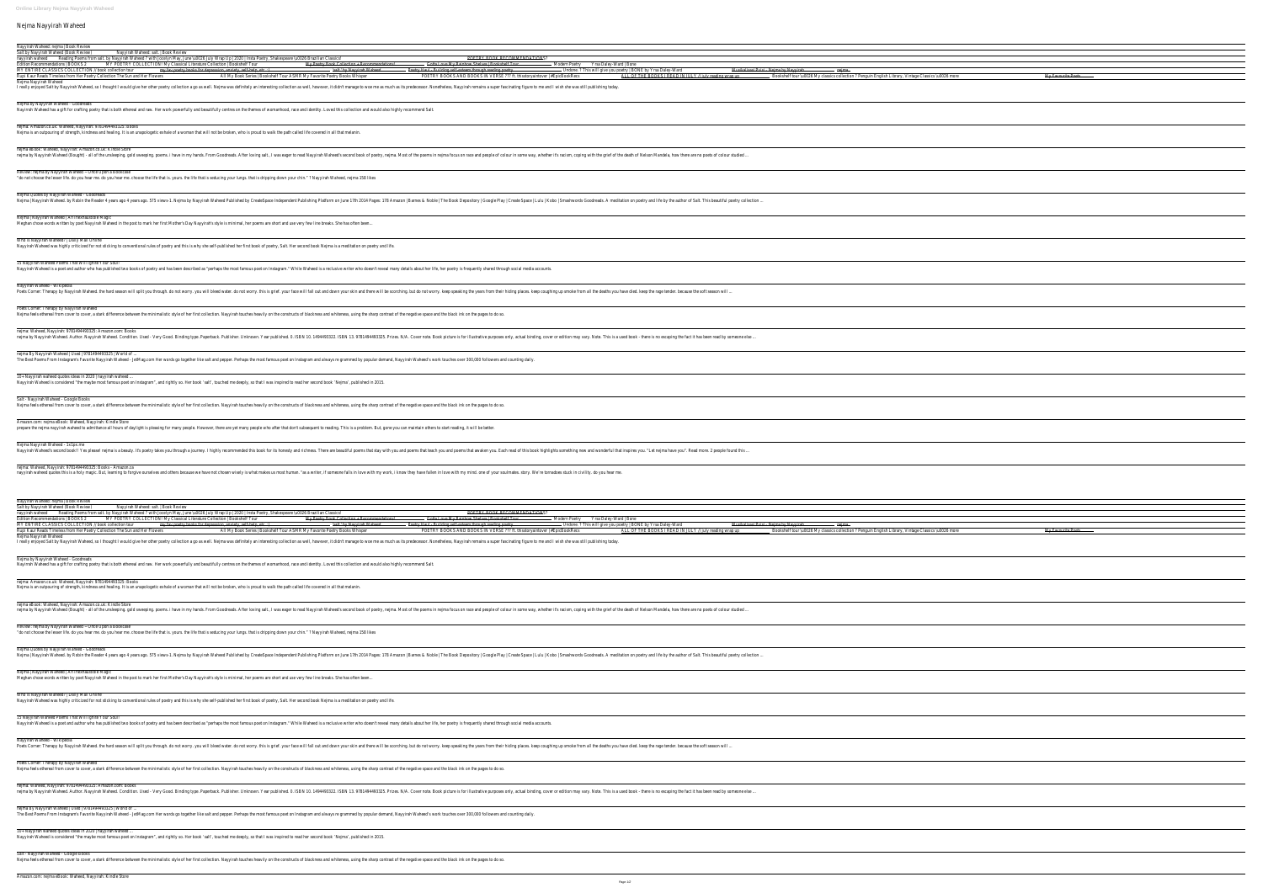## Nejma Nayyirah Waheed

Nayyirah Waheed: nejma | Book Review

Salt by Nayyirah Waheed (Book Review) Nayyirah Waheed: salt. | Book Review nayyirah waheed Reading Poems from salt. by Nayyirah Waheed ? with Jocelyn May, June \u0026 July Wrap Up | 2020 | Insta Poetry, Shakespeare \u0026 Brazilian Classics! POETRY BOOK RECOMMENDATIONS?

Evelly enjoyed Salt by Nayyirah Waheed, so I thought I would give her other poetry collection a go as well. Nejma was definitely an interesting collection as well, however, it didn't manage to woe me as much as its predece Nejma by Nayyirah Waheed - Goodreads

Nayirrah Waheed has a gift for crafting poetry that is both ethereal and raw. Her work powerfully and beautifully centres on the themes of womanhood, race and identity. Loved this collection and would also highly recommend

nejma: Amazon.co.uk: Waheed, Nayyirah: 9781494493325: Books Nejma is an outpouring of strength, kindness and healing. It is an unapologetic exhale of a woman that will not be broken, who is proud to walk the path called life covered in all that melanin.

nejma eBook: Waheed, Nayyirah: Amazon.co.uk: Kindle Store nejma by Nayyirah Waheed (Bought) - all of the unsleeping. gold sweeping. poems. i have in my hands. From Goodreads. After loving salt., I was eager to read Nayyirah Waheed's second book of poetry, nejma. Most of the poems

Review: nejma by Nayyirah Waheed ~ Once Upon a Bookcase "do not choose the lesser life. do you hear me. do you hear me. choose the life that is. yours. the life that is seducing your lungs. that is dripping down your chin."? Nayyirah Waheed, nejma 158 likes

Nejma Nayyirah Waheed

15 Nayyirah Waheed Poems That Will Ignite Your Soul! Nayyirah Waheed is a poet and author who has published two books of poetry and has been described as "perhaps the most famous poet on Instagram." While Waheed is a reclusive writer who doesn't reveal many details about her

Poets Corner: Therapy by Nayyirah Waheed Nejma feels ethereal from cover to cover, a stark difference between the minimalistic style of her first collection. Nayyirah touches heavily on the constructs of blackness and whiteness, using the sharp contrast of the ne

nejma: Waheed, Nayyirah: 9781494493325: Amazon.com: Books nejma by Nayyirah Waheed. Author. Nayyirah Waheed. Condition. Used - Very Good. Binding type. Paperback. Publisher. Unknown. Year published. O. ISBN 13. 9781494493322. ISBN 13. 9781494493322. ISBN 10. 1494493322. ISBN 13.

nejma By Nayyirah Waheed | Used | 9781494493325 | World of

The Best Poems From Instagram's Favorite Nayyirah Waheed - JetMag.com Her words go together like salt and pepper. Perhaps the most famous poet on Instagram and always re grammed by popular demand, Nayyirah Waheed's work to

Nejma Quotes by Nayyirah Waheed - Goodreads

Nayyirah Waheed. by Robin the Reader 4 years ago 4 years ago. 575 views-1. Nejma by Nayyirah Waheed Published by CreateSpace Independent Publishing Platform on June 17th 2014 Pages: 178 Amazon | Barnes & Noble | The Book D

Nejma Nayyirah Waheed - 1x1px.me Nayyirah Waheed's second book!! Yes please! nejma is a beauty. It's poetry takes you through a journey. I highly recommended this book for its honesty and richness. There are beautiful poems that awaken you. Each read of t

Nejma | Nayyirah Waheed | An Inexhaustible Magic

Meghan chose words written by poet Nayyirah Waheed in the post to mark her first Mother's Day Nayyirah's style is minimal, her poems are short and use very few line breaks. She has often been...

nejma: Waheed, Nayyirah: 9781494493325: Books - Amazon.ca ayyirah waheed quotes this is a holy magic. But, learning to forgive ourselves and others because we have not chosen wisely is what makes us most human. "as a writer, if someone falls in love with my work, i know they have

Who is Nayyirah Waheed? | Daily Mail Online

Nayyirah Waheed was highly criticized for not sticking to conventional rules of poetry and this is why she self-published her first book of poetry, Salt. Her second book Nejma is a meditation on poetry and life.

| POETRY BOOK RECOMMENDATIONS?<br>nayyirah waheed Reading Poems from salt. by Nayyirah Waheed? with Jocelyn May, June \u0026 July Wrap Up   2020   Insta Poetry, Shakespeare \u0026 Brazilian Classics!<br>MY POETRY COLLECTION! My Classical Literature Collection   Bookshelf Tour<br>Edition Recommendations   BOOKS 2<br>My Poetry Book Collection + Recommendations!<br>Gotta Love My Rainbow Shelves   Bookshelf Tour<br>Modern Poetry Yrsa Daley-Ward   Bone<br>MY ENTIRE CLASSICS COLLECTION // book collection tour<br>— <del>'salt.' by Nayyirah Waheed.</del><br>my fav poetry books for depression, anxiety, self help, etc. :)<br>Poetry Haul Building self esteem through reading poetry<br><del>Musikalisasi Puisi - Nejma by Nayyirah -</del><br>— Undone. ? This will give you poetry   BONE by Yrsa Daley-Ward<br>— <del>nejma -</del><br>POETRY BOOKS AND BOOKS IN VERSE ??? ft. thisstoryaintover   #EpicBookRecs<br>All My Book Series   Bookshelf Tour ASMR My Favorite Poetry Books Whisper<br>Bookshelf tour \u0026 My classics collection ? Penguin English Library, Vintage Classics \u0026 more<br>Rupi Kaur Reads Timeless from Her Poetry Collection The Sun and Her Flowers<br>ALL OF THE BOOKS I READ IN JULY // july reading wrap up<br>Nejma Nayyirah Waheed<br>I really enjoyed Salt by Nayyirah Waheed, so I thought I would give her other poetry collection a go as well. Nejma was definitely an interesting collection as well, however, it didn't manage to woe me as much as its prede<br>Nejma by Nayyirah Waheed - Goodreads<br>Nayirrah Waheed has a gift for crafting poetry that is both ethereal and raw. Her work powerfully and beautifully centres on the themes of womanhood, race and identity. Loved this collection and would also highly recommend<br>nejma: Amazon.co.uk: Waheed, Nayyirah: 9781494493325: Books<br>Nejma is an outpouring of strength, kindness and healing. It is an unapologetic exhale of a woman that will not be broken, who is proud to walk the path called life covered in all that melanin.<br>nejma eBook: Waheed, Nayyirah: Amazon.co.uk: Kindle Store<br>nejma by Nayyirah Waheed (Bought) - all of the unsleeping. gold sweeping. poems. i have in my hands. From Goodreads. After loving salt., I was eager to read Nayyirah Waheed's second book of poetry, nejma. Most of the poems<br>Review: nejma by Nayyirah Waheed ~ Once Upon a Bookcase<br>"do not choose the lesser life. do you hear me. do you hear me. choose the life that is. yours. the life that is seducing your lungs. that is dripping down your chin."? Nayyirah Waheed, nejma 158 likes<br>Nejma Quotes by Nayyirah Waheed - Goodreads<br>Nejma   Nayyirah Waheed. by Robin the Reader 4 years ago 4 years ago. 575 views-1. Nejma by Nayyirah Waheed Published by CreateSpace Independent Publishing Platform on June 17th 2014 Pages: 178 Amazon   Barnes & Noble   Th<br>Nejma   Nayyirah Waheed   An Inexhaustible Magic<br>Meghan chose words written by poet Nayyirah Waheed in the post to mark her first Mother's Day Nayyirah's style is minimal, her poems are short and use very few line breaks. She has often been<br>Who is Nayyirah Waheed?   Daily Mail Online<br>Nayyirah Waheed was highly criticized for not sticking to conventional rules of poetry and this is why she self-published her first book of poetry, Salt. Her second book Nejma is a meditation on poetry and life.<br>15 Nayyirah Waheed Poems That Will Ignite Your Soul!<br>Nayyirah Waheed is a poet and author who has published two books of poetry and has been described as "perhaps the most famous poet on Instagram." While Waheed is a reclusive writer who doesn't reveal many details about her<br>Nayyirah Waheed - Wikipedia<br>Poets Corner: Therapy by Nayyirah Waheed. the hard season will split you through. do not worry. you will bleed water. do not worry. this is grief. your face will fall out and down your skin and there will be scorohing up s<br>Poets Corner: Therapy by Nayyirah Waheed<br>Nejma feels ethereal from cover to cover, a stark difference between the minimalistic style of her first collection. Nayyirah touches heavily on the constructs of blackness and whiteness, using the sharp contrast of the ne<br>nejma: Waheed, Nayyirah: 9781494493325: Amazon.com: Books<br>nejma by Nayyirah Waheed. Author. Nayyirah Waheed. Condition. Used - Very Good. Binding type. Paperback. Publisher. Unknown. Year published. O. ISBN 10. 1494493325. Prizes. N/A. Cover note. Book picture is for illustrative<br>nejma By Nayyirah Waheed   Used   9781494493325   World of<br>The Best Poems From Instagram's Favorite Nayyirah Waheed - JetMag.com Her words go together like salt and pepper. Perhaps the most famous poet on Instagram and always re grammed by popular demand, Nayyirah Waheed's work to<br>10+ Nayyirah waheed quotes ideas in 2020   nayyirah waheed<br>Nayyirah Waheed is considered "the maybe most famous poet on Instagram", and rightly so. Her book 'salt', touched me deeply, so that I was inspired to read her second book 'Nejma', published in 2015. | Salt by Nayyirah Waheed (Book Review) | Nayyirah Waheed: salt.   Book Review |  |  |  |
|-----------------------------------------------------------------------------------------------------------------------------------------------------------------------------------------------------------------------------------------------------------------------------------------------------------------------------------------------------------------------------------------------------------------------------------------------------------------------------------------------------------------------------------------------------------------------------------------------------------------------------------------------------------------------------------------------------------------------------------------------------------------------------------------------------------------------------------------------------------------------------------------------------------------------------------------------------------------------------------------------------------------------------------------------------------------------------------------------------------------------------------------------------------------------------------------------------------------------------------------------------------------------------------------------------------------------------------------------------------------------------------------------------------------------------------------------------------------------------------------------------------------------------------------------------------------------------------------------------------------------------------------------------------------------------------------------------------------------------------------------------------------------------------------------------------------------------------------------------------------------------------------------------------------------------------------------------------------------------------------------------------------------------------------------------------------------------------------------------------------------------------------------------------------------------------------------------------------------------------------------------------------------------------------------------------------------------------------------------------------------------------------------------------------------------------------------------------------------------------------------------------------------------------------------------------------------------------------------------------------------------------------------------------------------------------------------------------------------------------------------------------------------------------------------------------------------------------------------------------------------------------------------------------------------------------------------------------------------------------------------------------------------------------------------------------------------------------------------------------------------------------------------------------------------------------------------------------------------------------------------------------------------------------------------------------------------------------------------------------------------------------------------------------------------------------------------------------------------------------------------------------------------------------------------------------------------------------------------------------------------------------------------------------------------------------------------------------------------------------------------------------------------------------------------------------------------------------------------------------------------------------------------------------------------------------------------------------------------------------------------------------------------------------------------------------------------------------------------------------------------------------------------------------------------------------------------------------------------------------------------------------------------------------------------------------------------------------------------------------------------------------------------------------------------------------------------------------------------------------------------------------------------------------------------------------------------------------------------------------------------------------------------------------------------------------------------------------------------------------------------------------------------------------------------------------------------------------------------------------------------------------------------------------------------------------------------------------------------------------------------------------------------------------------------------------------------------------------------------------------------------------------------------------------------------------|---------------------------------------|--------------------------------------|--|--|--|
|                                                                                                                                                                                                                                                                                                                                                                                                                                                                                                                                                                                                                                                                                                                                                                                                                                                                                                                                                                                                                                                                                                                                                                                                                                                                                                                                                                                                                                                                                                                                                                                                                                                                                                                                                                                                                                                                                                                                                                                                                                                                                                                                                                                                                                                                                                                                                                                                                                                                                                                                                                                                                                                                                                                                                                                                                                                                                                                                                                                                                                                                                                                                                                                                                                                                                                                                                                                                                                                                                                                                                                                                                                                                                                                                                                                                                                                                                                                                                                                                                                                                                                                                                                                                                                                                                                                                                                                                                                                                                                                                                                                                                                                                                                                                                                                                                                                                                                                                                                                                                                                                                                                                                                                   |                                       |                                      |  |  |  |
|                                                                                                                                                                                                                                                                                                                                                                                                                                                                                                                                                                                                                                                                                                                                                                                                                                                                                                                                                                                                                                                                                                                                                                                                                                                                                                                                                                                                                                                                                                                                                                                                                                                                                                                                                                                                                                                                                                                                                                                                                                                                                                                                                                                                                                                                                                                                                                                                                                                                                                                                                                                                                                                                                                                                                                                                                                                                                                                                                                                                                                                                                                                                                                                                                                                                                                                                                                                                                                                                                                                                                                                                                                                                                                                                                                                                                                                                                                                                                                                                                                                                                                                                                                                                                                                                                                                                                                                                                                                                                                                                                                                                                                                                                                                                                                                                                                                                                                                                                                                                                                                                                                                                                                                   |                                       |                                      |  |  |  |
|                                                                                                                                                                                                                                                                                                                                                                                                                                                                                                                                                                                                                                                                                                                                                                                                                                                                                                                                                                                                                                                                                                                                                                                                                                                                                                                                                                                                                                                                                                                                                                                                                                                                                                                                                                                                                                                                                                                                                                                                                                                                                                                                                                                                                                                                                                                                                                                                                                                                                                                                                                                                                                                                                                                                                                                                                                                                                                                                                                                                                                                                                                                                                                                                                                                                                                                                                                                                                                                                                                                                                                                                                                                                                                                                                                                                                                                                                                                                                                                                                                                                                                                                                                                                                                                                                                                                                                                                                                                                                                                                                                                                                                                                                                                                                                                                                                                                                                                                                                                                                                                                                                                                                                                   |                                       |                                      |  |  |  |
|                                                                                                                                                                                                                                                                                                                                                                                                                                                                                                                                                                                                                                                                                                                                                                                                                                                                                                                                                                                                                                                                                                                                                                                                                                                                                                                                                                                                                                                                                                                                                                                                                                                                                                                                                                                                                                                                                                                                                                                                                                                                                                                                                                                                                                                                                                                                                                                                                                                                                                                                                                                                                                                                                                                                                                                                                                                                                                                                                                                                                                                                                                                                                                                                                                                                                                                                                                                                                                                                                                                                                                                                                                                                                                                                                                                                                                                                                                                                                                                                                                                                                                                                                                                                                                                                                                                                                                                                                                                                                                                                                                                                                                                                                                                                                                                                                                                                                                                                                                                                                                                                                                                                                                                   |                                       |                                      |  |  |  |
|                                                                                                                                                                                                                                                                                                                                                                                                                                                                                                                                                                                                                                                                                                                                                                                                                                                                                                                                                                                                                                                                                                                                                                                                                                                                                                                                                                                                                                                                                                                                                                                                                                                                                                                                                                                                                                                                                                                                                                                                                                                                                                                                                                                                                                                                                                                                                                                                                                                                                                                                                                                                                                                                                                                                                                                                                                                                                                                                                                                                                                                                                                                                                                                                                                                                                                                                                                                                                                                                                                                                                                                                                                                                                                                                                                                                                                                                                                                                                                                                                                                                                                                                                                                                                                                                                                                                                                                                                                                                                                                                                                                                                                                                                                                                                                                                                                                                                                                                                                                                                                                                                                                                                                                   |                                       |                                      |  |  |  |
|                                                                                                                                                                                                                                                                                                                                                                                                                                                                                                                                                                                                                                                                                                                                                                                                                                                                                                                                                                                                                                                                                                                                                                                                                                                                                                                                                                                                                                                                                                                                                                                                                                                                                                                                                                                                                                                                                                                                                                                                                                                                                                                                                                                                                                                                                                                                                                                                                                                                                                                                                                                                                                                                                                                                                                                                                                                                                                                                                                                                                                                                                                                                                                                                                                                                                                                                                                                                                                                                                                                                                                                                                                                                                                                                                                                                                                                                                                                                                                                                                                                                                                                                                                                                                                                                                                                                                                                                                                                                                                                                                                                                                                                                                                                                                                                                                                                                                                                                                                                                                                                                                                                                                                                   |                                       |                                      |  |  |  |
|                                                                                                                                                                                                                                                                                                                                                                                                                                                                                                                                                                                                                                                                                                                                                                                                                                                                                                                                                                                                                                                                                                                                                                                                                                                                                                                                                                                                                                                                                                                                                                                                                                                                                                                                                                                                                                                                                                                                                                                                                                                                                                                                                                                                                                                                                                                                                                                                                                                                                                                                                                                                                                                                                                                                                                                                                                                                                                                                                                                                                                                                                                                                                                                                                                                                                                                                                                                                                                                                                                                                                                                                                                                                                                                                                                                                                                                                                                                                                                                                                                                                                                                                                                                                                                                                                                                                                                                                                                                                                                                                                                                                                                                                                                                                                                                                                                                                                                                                                                                                                                                                                                                                                                                   |                                       |                                      |  |  |  |
|                                                                                                                                                                                                                                                                                                                                                                                                                                                                                                                                                                                                                                                                                                                                                                                                                                                                                                                                                                                                                                                                                                                                                                                                                                                                                                                                                                                                                                                                                                                                                                                                                                                                                                                                                                                                                                                                                                                                                                                                                                                                                                                                                                                                                                                                                                                                                                                                                                                                                                                                                                                                                                                                                                                                                                                                                                                                                                                                                                                                                                                                                                                                                                                                                                                                                                                                                                                                                                                                                                                                                                                                                                                                                                                                                                                                                                                                                                                                                                                                                                                                                                                                                                                                                                                                                                                                                                                                                                                                                                                                                                                                                                                                                                                                                                                                                                                                                                                                                                                                                                                                                                                                                                                   |                                       |                                      |  |  |  |
|                                                                                                                                                                                                                                                                                                                                                                                                                                                                                                                                                                                                                                                                                                                                                                                                                                                                                                                                                                                                                                                                                                                                                                                                                                                                                                                                                                                                                                                                                                                                                                                                                                                                                                                                                                                                                                                                                                                                                                                                                                                                                                                                                                                                                                                                                                                                                                                                                                                                                                                                                                                                                                                                                                                                                                                                                                                                                                                                                                                                                                                                                                                                                                                                                                                                                                                                                                                                                                                                                                                                                                                                                                                                                                                                                                                                                                                                                                                                                                                                                                                                                                                                                                                                                                                                                                                                                                                                                                                                                                                                                                                                                                                                                                                                                                                                                                                                                                                                                                                                                                                                                                                                                                                   |                                       |                                      |  |  |  |
|                                                                                                                                                                                                                                                                                                                                                                                                                                                                                                                                                                                                                                                                                                                                                                                                                                                                                                                                                                                                                                                                                                                                                                                                                                                                                                                                                                                                                                                                                                                                                                                                                                                                                                                                                                                                                                                                                                                                                                                                                                                                                                                                                                                                                                                                                                                                                                                                                                                                                                                                                                                                                                                                                                                                                                                                                                                                                                                                                                                                                                                                                                                                                                                                                                                                                                                                                                                                                                                                                                                                                                                                                                                                                                                                                                                                                                                                                                                                                                                                                                                                                                                                                                                                                                                                                                                                                                                                                                                                                                                                                                                                                                                                                                                                                                                                                                                                                                                                                                                                                                                                                                                                                                                   |                                       |                                      |  |  |  |
|                                                                                                                                                                                                                                                                                                                                                                                                                                                                                                                                                                                                                                                                                                                                                                                                                                                                                                                                                                                                                                                                                                                                                                                                                                                                                                                                                                                                                                                                                                                                                                                                                                                                                                                                                                                                                                                                                                                                                                                                                                                                                                                                                                                                                                                                                                                                                                                                                                                                                                                                                                                                                                                                                                                                                                                                                                                                                                                                                                                                                                                                                                                                                                                                                                                                                                                                                                                                                                                                                                                                                                                                                                                                                                                                                                                                                                                                                                                                                                                                                                                                                                                                                                                                                                                                                                                                                                                                                                                                                                                                                                                                                                                                                                                                                                                                                                                                                                                                                                                                                                                                                                                                                                                   |                                       |                                      |  |  |  |
|                                                                                                                                                                                                                                                                                                                                                                                                                                                                                                                                                                                                                                                                                                                                                                                                                                                                                                                                                                                                                                                                                                                                                                                                                                                                                                                                                                                                                                                                                                                                                                                                                                                                                                                                                                                                                                                                                                                                                                                                                                                                                                                                                                                                                                                                                                                                                                                                                                                                                                                                                                                                                                                                                                                                                                                                                                                                                                                                                                                                                                                                                                                                                                                                                                                                                                                                                                                                                                                                                                                                                                                                                                                                                                                                                                                                                                                                                                                                                                                                                                                                                                                                                                                                                                                                                                                                                                                                                                                                                                                                                                                                                                                                                                                                                                                                                                                                                                                                                                                                                                                                                                                                                                                   |                                       |                                      |  |  |  |
|                                                                                                                                                                                                                                                                                                                                                                                                                                                                                                                                                                                                                                                                                                                                                                                                                                                                                                                                                                                                                                                                                                                                                                                                                                                                                                                                                                                                                                                                                                                                                                                                                                                                                                                                                                                                                                                                                                                                                                                                                                                                                                                                                                                                                                                                                                                                                                                                                                                                                                                                                                                                                                                                                                                                                                                                                                                                                                                                                                                                                                                                                                                                                                                                                                                                                                                                                                                                                                                                                                                                                                                                                                                                                                                                                                                                                                                                                                                                                                                                                                                                                                                                                                                                                                                                                                                                                                                                                                                                                                                                                                                                                                                                                                                                                                                                                                                                                                                                                                                                                                                                                                                                                                                   |                                       |                                      |  |  |  |
|                                                                                                                                                                                                                                                                                                                                                                                                                                                                                                                                                                                                                                                                                                                                                                                                                                                                                                                                                                                                                                                                                                                                                                                                                                                                                                                                                                                                                                                                                                                                                                                                                                                                                                                                                                                                                                                                                                                                                                                                                                                                                                                                                                                                                                                                                                                                                                                                                                                                                                                                                                                                                                                                                                                                                                                                                                                                                                                                                                                                                                                                                                                                                                                                                                                                                                                                                                                                                                                                                                                                                                                                                                                                                                                                                                                                                                                                                                                                                                                                                                                                                                                                                                                                                                                                                                                                                                                                                                                                                                                                                                                                                                                                                                                                                                                                                                                                                                                                                                                                                                                                                                                                                                                   |                                       |                                      |  |  |  |
|                                                                                                                                                                                                                                                                                                                                                                                                                                                                                                                                                                                                                                                                                                                                                                                                                                                                                                                                                                                                                                                                                                                                                                                                                                                                                                                                                                                                                                                                                                                                                                                                                                                                                                                                                                                                                                                                                                                                                                                                                                                                                                                                                                                                                                                                                                                                                                                                                                                                                                                                                                                                                                                                                                                                                                                                                                                                                                                                                                                                                                                                                                                                                                                                                                                                                                                                                                                                                                                                                                                                                                                                                                                                                                                                                                                                                                                                                                                                                                                                                                                                                                                                                                                                                                                                                                                                                                                                                                                                                                                                                                                                                                                                                                                                                                                                                                                                                                                                                                                                                                                                                                                                                                                   |                                       |                                      |  |  |  |
|                                                                                                                                                                                                                                                                                                                                                                                                                                                                                                                                                                                                                                                                                                                                                                                                                                                                                                                                                                                                                                                                                                                                                                                                                                                                                                                                                                                                                                                                                                                                                                                                                                                                                                                                                                                                                                                                                                                                                                                                                                                                                                                                                                                                                                                                                                                                                                                                                                                                                                                                                                                                                                                                                                                                                                                                                                                                                                                                                                                                                                                                                                                                                                                                                                                                                                                                                                                                                                                                                                                                                                                                                                                                                                                                                                                                                                                                                                                                                                                                                                                                                                                                                                                                                                                                                                                                                                                                                                                                                                                                                                                                                                                                                                                                                                                                                                                                                                                                                                                                                                                                                                                                                                                   |                                       |                                      |  |  |  |
|                                                                                                                                                                                                                                                                                                                                                                                                                                                                                                                                                                                                                                                                                                                                                                                                                                                                                                                                                                                                                                                                                                                                                                                                                                                                                                                                                                                                                                                                                                                                                                                                                                                                                                                                                                                                                                                                                                                                                                                                                                                                                                                                                                                                                                                                                                                                                                                                                                                                                                                                                                                                                                                                                                                                                                                                                                                                                                                                                                                                                                                                                                                                                                                                                                                                                                                                                                                                                                                                                                                                                                                                                                                                                                                                                                                                                                                                                                                                                                                                                                                                                                                                                                                                                                                                                                                                                                                                                                                                                                                                                                                                                                                                                                                                                                                                                                                                                                                                                                                                                                                                                                                                                                                   |                                       |                                      |  |  |  |
|                                                                                                                                                                                                                                                                                                                                                                                                                                                                                                                                                                                                                                                                                                                                                                                                                                                                                                                                                                                                                                                                                                                                                                                                                                                                                                                                                                                                                                                                                                                                                                                                                                                                                                                                                                                                                                                                                                                                                                                                                                                                                                                                                                                                                                                                                                                                                                                                                                                                                                                                                                                                                                                                                                                                                                                                                                                                                                                                                                                                                                                                                                                                                                                                                                                                                                                                                                                                                                                                                                                                                                                                                                                                                                                                                                                                                                                                                                                                                                                                                                                                                                                                                                                                                                                                                                                                                                                                                                                                                                                                                                                                                                                                                                                                                                                                                                                                                                                                                                                                                                                                                                                                                                                   |                                       |                                      |  |  |  |

Nejma feels ethereal from cover to cover, a stark difference between the minimalistic style of her first collection. Nayyirah touches heavily on the constructs of blackness and whiteness, using the sharp contrast of the ne

Nayyirah Waheed - Wikipedia

Poets Corner: Therapy by Nayyirah Waheed. the hard season will split you through. do not worry. you will bleed water. do not worry. this is grief. your face will fall out and down your skin and there will be scorching up s

10+ Nayyirah waheed quotes ideas in 2020 | nayyirah waheed ... Nayyirah Waheed is considered "the maybe most famous poet on Instagram", and rightly so. Her book 'salt', touched me deeply, so that I was inspired to read her second book 'Nejma', published in 2015.

Salt - Nayyirah Waheed - Google Books

Nejma feels ethereal from cover to cover, a stark difference between the minimalistic style of her first collection. Nayyirah touches heavily on the constructs of blackness and whiteness, using the sharp contrast of the ne

Amazon.com: nejma eBook: Waheed, Nayyirah: Kindle Store

prepare the nejma nayyirah waheed to admittance all hours of daylight is pleasing for many people. However, there are yet many people who after that don't subsequent to reading. This is a problem. But, gone you can maintai

Nayyirah Waheed: nejma | Book Review

Salt - Nayyirah Waheed - Google Books

## MY POETRY COLLECTION! My Classical Literature Collection | Bookshelf Tour My Poetry Book Collection + Recommendations! Gotta Love My Rainbow Shelves | Bookshelf Tour Modern Poetry Yrsa Daley-Ward | Bone MY ENTIRE CLASSICS COLLECTION // book collection tour my fav poetry books for depression, anxiety, self-help, etc. :) 'salt.' by Nayyirah Waheed. Poetry Haul - Building self-esteem through reading poetry Undone. ? This will give you poetry | BONE by Yrsa Daley-Ward Musikalisasi Puisi - Nejma by Nayyirah nejma All My Book Series | Bookshelf Tour ASMR My Favorite Poetry Bookshelf Tour ASMR My Favorite Poetry Bookshelf Tour ASMR My Favorite Poetry Bookshelf Tour ASMR My Favorite Poetry Bookshelf Tour ASMR My Favorite Poetry Booksh

| My Favourite Poets                                                                                                    |
|-----------------------------------------------------------------------------------------------------------------------|
|                                                                                                                       |
|                                                                                                                       |
|                                                                                                                       |
|                                                                                                                       |
|                                                                                                                       |
|                                                                                                                       |
|                                                                                                                       |
|                                                                                                                       |
|                                                                                                                       |
|                                                                                                                       |
|                                                                                                                       |
|                                                                                                                       |
|                                                                                                                       |
|                                                                                                                       |
|                                                                                                                       |
|                                                                                                                       |
|                                                                                                                       |
|                                                                                                                       |
|                                                                                                                       |
| <u> 1989 - Andrea Andrew Maria (h. 1989).</u>                                                                         |
|                                                                                                                       |
|                                                                                                                       |
|                                                                                                                       |
|                                                                                                                       |
|                                                                                                                       |
|                                                                                                                       |
|                                                                                                                       |
|                                                                                                                       |
|                                                                                                                       |
|                                                                                                                       |
|                                                                                                                       |
|                                                                                                                       |
|                                                                                                                       |
| My Favourite Poets                                                                                                    |
|                                                                                                                       |
|                                                                                                                       |
|                                                                                                                       |
| <u> 1989 - Johann Barn, mars ann an t-Amhain Aonaich an t-Aonaich an t-Aonaich an t-Aonaich an t-Aonaich an t-Aon</u> |
|                                                                                                                       |
|                                                                                                                       |
|                                                                                                                       |
|                                                                                                                       |
|                                                                                                                       |
|                                                                                                                       |
|                                                                                                                       |
|                                                                                                                       |
|                                                                                                                       |
|                                                                                                                       |
| <u> 1989 - Andrea Barbara, Amerikaansk politik (d. 1989)</u>                                                          |
|                                                                                                                       |
| <u> 1999 - Andrea Barbara, Amerikaansk politik (d. 1989)</u>                                                          |
|                                                                                                                       |
|                                                                                                                       |
|                                                                                                                       |
| <u> 1989 - Andrea Station Barbara, actor a contrador de la contrador de la contrador de la contrador de la contra</u> |
| <u> 1989 - Andrea Barbara, Amerikaansk politik (d. 1989)</u>                                                          |
|                                                                                                                       |
| <u> 1980 - Johann Barbara, martxa alemaniar arg</u>                                                                   |